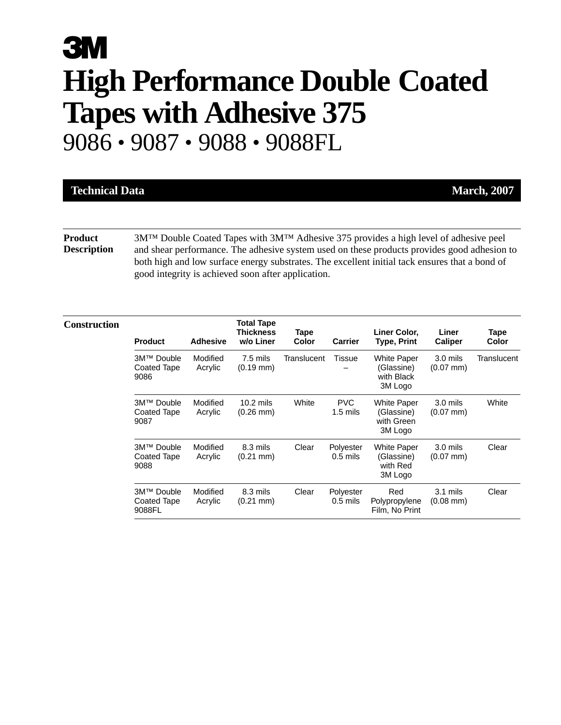# **3M High Performance Double Coated Tapes with Adhesive 375** 9086 • 9087 • 9088 • 9088FL

| <b>Technical Data</b>                | <b>March, 2007</b>                                                                                                                                                                        |
|--------------------------------------|-------------------------------------------------------------------------------------------------------------------------------------------------------------------------------------------|
|                                      |                                                                                                                                                                                           |
| <b>Product</b><br><b>Description</b> | $3MTM$ Double Coated Tapes with $3MTM$ Adhesive 375 provides a high level of adhesive peel<br>and shear performance. The adhesive system used on these products provides good adhesion to |

and shear performance. The adhesive system used on these products provides good adhesion to both high and low surface energy substrates. The excellent initial tack ensures that a bond of good integrity is achieved soon after application.

| <b>Construction</b> | <b>Product</b>                      | <b>Adhesive</b>     | <b>Total Tape</b><br><b>Thickness</b><br>w/o Liner | Tape<br>Color | <b>Carrier</b>           | Liner Color,<br>Type, Print                               | Liner<br><b>Caliper</b>                    | Tape<br>Color |
|---------------------|-------------------------------------|---------------------|----------------------------------------------------|---------------|--------------------------|-----------------------------------------------------------|--------------------------------------------|---------------|
|                     | 3M™ Double<br>Coated Tape<br>9086   | Modified<br>Acrylic | 7.5 mils<br>$(0.19 \text{ mm})$                    | Translucent   | Tissue                   | <b>White Paper</b><br>(Glassine)<br>with Black<br>3M Logo | $3.0$ mils<br>$(0.07$ mm $)$               | Translucent   |
|                     | 3M™ Double<br>Coated Tape<br>9087   | Modified<br>Acrylic | $10.2$ mils<br>$(0.26 \text{ mm})$                 | White         | <b>PVC</b><br>$1.5$ mils | <b>White Paper</b><br>(Glassine)<br>with Green<br>3M Logo | 3.0 mils<br>$(0.07$ mm $)$                 | White         |
|                     | 3M™ Double<br>Coated Tape<br>9088   | Modified<br>Acrylic | 8.3 mils<br>$(0.21 \text{ mm})$                    | Clear         | Polyester<br>$0.5$ mils  | <b>White Paper</b><br>(Glassine)<br>with Red<br>3M Logo   | $3.0$ mils<br>$(0.07$ mm $)$               | Clear         |
|                     | 3M™ Double<br>Coated Tape<br>9088FL | Modified<br>Acrylic | 8.3 mils<br>$(0.21 \text{ mm})$                    | Clear         | Polyester<br>$0.5$ mils  | Red<br>Polypropylene<br>Film, No Print                    | $3.1 \text{ miles}$<br>$(0.08 \text{ mm})$ | Clear         |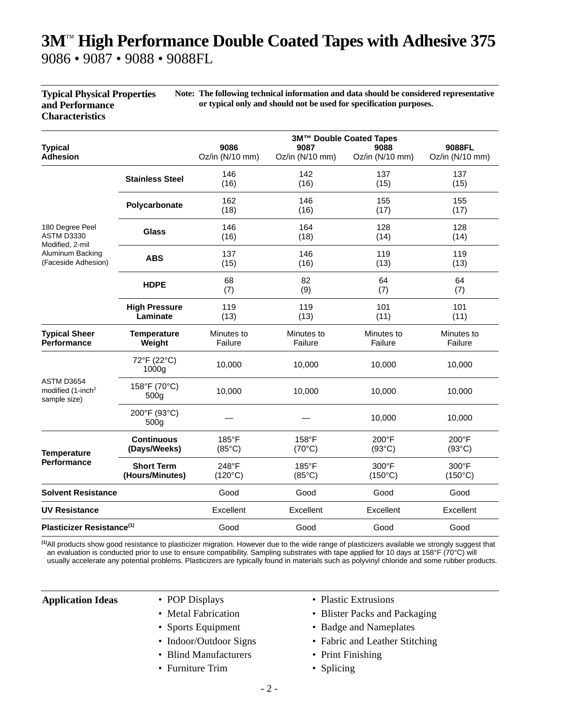### **3M**™ **High Performance Double Coated Tapes with Adhesive 375** 9086 • 9087 • 9088 • 9088FL

| <b>Typical Physical Properties</b> | Note: The following technical information and data should be considered representative |
|------------------------------------|----------------------------------------------------------------------------------------|
| and Performance                    | or typical only and should not be used for specification purposes.                     |
| <b>Characteristics</b>             |                                                                                        |

| <b>Typical</b>                                                                              |                                      | 3M™ Double Coated Tapes<br>9086<br>9088FL<br>9087<br>9088 |                          |                           |                           |  |  |
|---------------------------------------------------------------------------------------------|--------------------------------------|-----------------------------------------------------------|--------------------------|---------------------------|---------------------------|--|--|
| <b>Adhesion</b>                                                                             |                                      | Oz/in (N/10 mm)                                           | Oz/in (N/10 mm)          | Oz/in (N/10 mm)           | Oz/in (N/10 mm)           |  |  |
|                                                                                             | <b>Stainless Steel</b>               | 146<br>(16)                                               | 142<br>(16)              | 137<br>(15)               | 137<br>(15)               |  |  |
|                                                                                             | Polycarbonate                        | 162<br>(18)                                               | 146<br>(16)              | 155<br>(17)               | 155<br>(17)               |  |  |
| 180 Degree Peel<br>ASTM D3330<br>Modified, 2-mil<br>Aluminum Backing<br>(Faceside Adhesion) | <b>Glass</b>                         | 146<br>(16)                                               | 164<br>(18)              | 128<br>(14)               | 128<br>(14)               |  |  |
|                                                                                             | <b>ABS</b>                           | 137<br>(15)                                               | 146<br>(16)              | 119<br>(13)               | 119<br>(13)               |  |  |
|                                                                                             | <b>HDPE</b>                          | 68<br>(7)                                                 | 82<br>(9)                | 64<br>(7)                 | 64<br>(7)                 |  |  |
|                                                                                             | <b>High Pressure</b><br>Laminate     | 119<br>(13)                                               | 119<br>(13)              | 101<br>(11)               | 101<br>(11)               |  |  |
| <b>Typical Sheer</b><br><b>Performance</b>                                                  | <b>Temperature</b><br>Weight         | Minutes to<br>Failure                                     | Minutes to<br>Failure    | Minutes to<br>Failure     | Minutes to<br>Failure     |  |  |
|                                                                                             | 72°F (22°C)<br>1000g                 | 10,000                                                    | 10,000                   | 10,000                    | 10,000                    |  |  |
| ASTM D3654<br>modified (1-inch <sup>2</sup><br>sample size)                                 | 158°F (70°C)<br>500 <sub>g</sub>     | 10,000                                                    | 10,000                   | 10,000                    | 10,000                    |  |  |
|                                                                                             | 200°F (93°C)<br>500 <sub>g</sub>     |                                                           |                          | 10,000                    | 10,000                    |  |  |
| <b>Temperature</b>                                                                          | <b>Continuous</b><br>(Days/Weeks)    | 185°F<br>$(85^{\circ}C)$                                  | 158°F<br>$(70^{\circ}C)$ | 200°F<br>$(93^{\circ}C)$  | 200°F<br>$(93^{\circ}C)$  |  |  |
| <b>Performance</b>                                                                          | <b>Short Term</b><br>(Hours/Minutes) | 248°F<br>$(120^{\circ}C)$                                 | 185°F<br>$(85^{\circ}C)$ | 300°F<br>$(150^{\circ}C)$ | 300°F<br>$(150^{\circ}C)$ |  |  |
| <b>Solvent Resistance</b>                                                                   |                                      | Good                                                      | Good                     | Good                      | Good                      |  |  |
| <b>UV Resistance</b>                                                                        |                                      | Excellent                                                 | Excellent                | Excellent                 | Excellent                 |  |  |
| Plasticizer Resistance <sup>(1)</sup>                                                       |                                      | Good                                                      | Good                     | Good                      | Good                      |  |  |

**(1)**All products show good resistance to plasticizer migration. However due to the wide range of plasticizers available we strongly suggest that an evaluation is conducted prior to use to ensure compatibility. Sampling substrates with tape applied for 10 days at 158°F (70°C) will usually accelerate any potential problems. Plasticizers are typically found in materials such as polyvinyl chloride and some rubber products.

- 
- 
- 
- 
- Blind Manufacturers Print Finishing
- Furniture Trim Splicing
- **Application Ideas** POP Displays Plastic Extrusions
	- Metal Fabrication Blister Packs and Packaging
	- Sports Equipment Badge and Nameplates
	- Indoor/Outdoor Signs Fabric and Leather Stitching
		-
		-